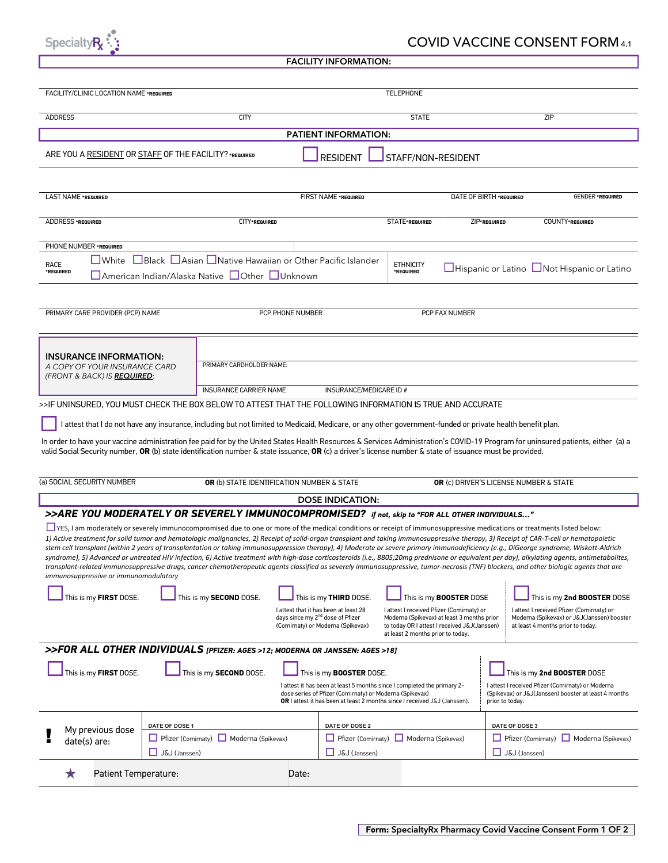

## COVID VACCINE CONSENT FORM 4.1

|  |  |  |  | <b>FACILITY INFORMATION:</b> |
|--|--|--|--|------------------------------|
|--|--|--|--|------------------------------|

| FACILITY/CLINIC LOCATION NAME *REQUIRED                                                                                                                                                                                                                                                                                                                             |                                                                            |                                                                                                            |                  |                                                                                       | <b>TELEPHONE</b>                          |                                              |                |                                                                                                                                                                                               |
|---------------------------------------------------------------------------------------------------------------------------------------------------------------------------------------------------------------------------------------------------------------------------------------------------------------------------------------------------------------------|----------------------------------------------------------------------------|------------------------------------------------------------------------------------------------------------|------------------|---------------------------------------------------------------------------------------|-------------------------------------------|----------------------------------------------|----------------|-----------------------------------------------------------------------------------------------------------------------------------------------------------------------------------------------|
| <b>ADDRESS</b>                                                                                                                                                                                                                                                                                                                                                      |                                                                            | <b>CITY</b>                                                                                                |                  |                                                                                       | <b>STATE</b>                              |                                              |                | ZIP                                                                                                                                                                                           |
|                                                                                                                                                                                                                                                                                                                                                                     |                                                                            |                                                                                                            |                  | PATIENT INFORMATION:                                                                  |                                           |                                              |                |                                                                                                                                                                                               |
| ARE YOU A RESIDENT OR STAFF OF THE FACILITY? *REQUIRED                                                                                                                                                                                                                                                                                                              |                                                                            |                                                                                                            |                  | <b>RESIDENT</b>                                                                       | STAFF/NON-RESIDENT                        |                                              |                |                                                                                                                                                                                               |
|                                                                                                                                                                                                                                                                                                                                                                     |                                                                            |                                                                                                            |                  |                                                                                       |                                           |                                              |                |                                                                                                                                                                                               |
| LAST NAME *REQUIRED                                                                                                                                                                                                                                                                                                                                                 | FIRST NAME *REQUIRED<br>DATE OF BIRTH *REQUIRED<br><b>GENDER *REQUIRED</b> |                                                                                                            |                  |                                                                                       |                                           |                                              |                |                                                                                                                                                                                               |
| ADDRESS *REQUIRED                                                                                                                                                                                                                                                                                                                                                   |                                                                            | CITY*REQUIRED                                                                                              |                  |                                                                                       | STATE*REQUIRED                            | ZIP*REQUIRED                                 |                | COUNTY*REQUIRED                                                                                                                                                                               |
| PHONE NUMBER *REQUIRED                                                                                                                                                                                                                                                                                                                                              |                                                                            |                                                                                                            |                  |                                                                                       |                                           |                                              |                |                                                                                                                                                                                               |
| $\square$ White<br>RACE<br>*REQUIRED                                                                                                                                                                                                                                                                                                                                |                                                                            | □Black □Asian □Native Hawaiian or Other Pacific Islander<br>■American Indian/Alaska Native ■Other ■Unknown |                  |                                                                                       | <b>ETHNICITY</b><br>*REQUIRED             |                                              |                | $\Box$ Hispanic or Latino $\Box$ Not Hispanic or Latino                                                                                                                                       |
|                                                                                                                                                                                                                                                                                                                                                                     |                                                                            |                                                                                                            |                  |                                                                                       |                                           |                                              |                |                                                                                                                                                                                               |
| PRIMARY CARE PROVIDER (PCP) NAME                                                                                                                                                                                                                                                                                                                                    |                                                                            |                                                                                                            | PCP PHONE NUMBER |                                                                                       |                                           | PCP FAX NUMBER                               |                |                                                                                                                                                                                               |
|                                                                                                                                                                                                                                                                                                                                                                     |                                                                            |                                                                                                            |                  |                                                                                       |                                           |                                              |                |                                                                                                                                                                                               |
| <b>INSURANCE INFORMATION:</b><br>A COPY OF YOUR INSURANCE CARD<br>(FRONT & BACK) IS <b>REQUIRED</b> :                                                                                                                                                                                                                                                               |                                                                            | PRIMARY CARDHOLDER NAME:                                                                                   |                  |                                                                                       |                                           |                                              |                |                                                                                                                                                                                               |
|                                                                                                                                                                                                                                                                                                                                                                     |                                                                            | <b>INSURANCE CARRIER NAME</b>                                                                              |                  | INSURANCE/MEDICARE ID #                                                               |                                           |                                              |                |                                                                                                                                                                                               |
| >>IF UNINSURED, YOU MUST CHECK THE BOX BELOW TO ATTEST THAT THE FOLLOWING INFORMATION IS TRUE AND ACCURATE                                                                                                                                                                                                                                                          |                                                                            |                                                                                                            |                  |                                                                                       |                                           |                                              |                |                                                                                                                                                                                               |
| I attest that I do not have any insurance, including but not limited to Medicaid, Medicare, or any other government-funded or private health benefit plan.                                                                                                                                                                                                          |                                                                            |                                                                                                            |                  |                                                                                       |                                           |                                              |                |                                                                                                                                                                                               |
|                                                                                                                                                                                                                                                                                                                                                                     |                                                                            |                                                                                                            |                  |                                                                                       |                                           |                                              |                | In order to have your vaccine administration fee paid for by the United States Health Resources & Services Administration's COVID-19 Program for uninsured patients, either (a) a             |
| valid Social Security number, <b>OR</b> (b) state identification number & state issuance, <b>OR</b> (c) a driver's license number & state of issuance must be provided.                                                                                                                                                                                             |                                                                            |                                                                                                            |                  |                                                                                       |                                           |                                              |                |                                                                                                                                                                                               |
|                                                                                                                                                                                                                                                                                                                                                                     |                                                                            |                                                                                                            |                  |                                                                                       |                                           |                                              |                |                                                                                                                                                                                               |
| (a) SOCIAL SECURITY NUMBER                                                                                                                                                                                                                                                                                                                                          |                                                                            | OR (b) STATE IDENTIFICATION NUMBER & STATE                                                                 |                  |                                                                                       |                                           | OR (c) DRIVER'S LICENSE NUMBER & STATE       |                |                                                                                                                                                                                               |
|                                                                                                                                                                                                                                                                                                                                                                     |                                                                            |                                                                                                            |                  | <b>DOSE INDICATION:</b>                                                               |                                           |                                              |                |                                                                                                                                                                                               |
| >>ARE YOU MODERATELY OR SEVERELY IMMUNOCOMPROMISED? if not, skip to "FOR ALL OTHER INDIVIDUALS"                                                                                                                                                                                                                                                                     |                                                                            |                                                                                                            |                  |                                                                                       |                                           |                                              |                |                                                                                                                                                                                               |
| □ YES, I am moderately or severely immunocompromised due to one or more of the medical conditions or receipt of immunosuppressive medications or treatments listed below:<br>1) Active treatment for solid tumor and hematologic malignancies, 2) Receipt of solid-organ transplant and taking immunosuppressive therapy, 3) Receipt of CAR-T-cell or hematopoietic |                                                                            |                                                                                                            |                  |                                                                                       |                                           |                                              |                |                                                                                                                                                                                               |
| stem cell transplant (within 2 years of transplantation or taking immunosuppression therapy), 4) Moderate or severe primary immunodeficiency (e.g., DiGeorge syndrome, Wiskott-Aldrich                                                                                                                                                                              |                                                                            |                                                                                                            |                  |                                                                                       |                                           |                                              |                |                                                                                                                                                                                               |
| transplant-related immunosuppressive drugs, cancer chemotherapeutic agents classified as severely immunosuppressive, tumor-necrosis (TNF) blockers, and other biologic agents that are                                                                                                                                                                              |                                                                            |                                                                                                            |                  |                                                                                       |                                           |                                              |                | syndrome), 5) Advanced or untreated HIV infection, 6) Active treatment with high-dose corticosteroids (i.e., 8805;20mg prednisone or equivalent per day), alkylating agents, antimetabolites, |
| immunosuppressive or immunomodulatory                                                                                                                                                                                                                                                                                                                               |                                                                            |                                                                                                            |                  |                                                                                       |                                           |                                              |                |                                                                                                                                                                                               |
| This is my FIRST DOSE.                                                                                                                                                                                                                                                                                                                                              |                                                                            | This is my SECOND DOSE.                                                                                    |                  | This is my THIRD DOSE.                                                                |                                           | This is my <b>BOOSTER</b> DOSE               |                | This is my 2nd BOOSTER DOSE                                                                                                                                                                   |
|                                                                                                                                                                                                                                                                                                                                                                     |                                                                            |                                                                                                            |                  | I attest that it has been at least 28<br>days since my 2 <sup>nd</sup> dose of Pfizer | I attest I received Pfizer (Comirnaty) or | Moderna (Spikevax) at least 3 months prior   |                | I attest I received Pfizer (Comirnaty) or<br>Moderna (Spikevax) or J&J(Janssen) booster                                                                                                       |
|                                                                                                                                                                                                                                                                                                                                                                     |                                                                            |                                                                                                            |                  | (Comirnaty) or Moderna (Spikevax)                                                     | at least 2 months prior to today.         | to today OR I attest I received J&J(Janssen) |                | at least 4 months prior to today.                                                                                                                                                             |
| >>FOR ALL OTHER INDIVIDUALS [PFIZER: AGES >12; MODERNA OR JANSSEN: AGES >18]                                                                                                                                                                                                                                                                                        |                                                                            |                                                                                                            |                  |                                                                                       |                                           |                                              |                |                                                                                                                                                                                               |
|                                                                                                                                                                                                                                                                                                                                                                     |                                                                            |                                                                                                            |                  |                                                                                       |                                           |                                              |                |                                                                                                                                                                                               |
| This is my FIRST DOSE.                                                                                                                                                                                                                                                                                                                                              |                                                                            | This is my SECOND DOSE.                                                                                    |                  | This is my <b>BOOSTER</b> DOSE.                                                       |                                           |                                              |                | This is my 2nd BOOSTER DOSE                                                                                                                                                                   |
| I attest it has been at least 5 months since I completed the primary 2-<br>I attest I received Pfizer (Comirnaty) or Moderna<br>dose series of Pfizer (Comirnaty) or Moderna (Spikevax)<br>(Spikevax) or J&J(Janssen) booster at least 4 months<br><b>OR</b> I attest it has been at least 2 months since I received J&J (Janssen).<br>prior to today.              |                                                                            |                                                                                                            |                  |                                                                                       |                                           |                                              |                |                                                                                                                                                                                               |
| My previous dose                                                                                                                                                                                                                                                                                                                                                    | DATE OF DOSE 1                                                             |                                                                                                            |                  | DATE OF DOSE 2                                                                        |                                           |                                              | DATE OF DOSE 3 |                                                                                                                                                                                               |
| date(s) are:                                                                                                                                                                                                                                                                                                                                                        |                                                                            | Pfizer (Comirnaty) Moderna (Spikevax)                                                                      |                  | Pfizer (Comirnaty) Moderna (Spikevax)                                                 |                                           |                                              |                | Pfizer (Comirnaty) Moderna (Spikevax)                                                                                                                                                         |
|                                                                                                                                                                                                                                                                                                                                                                     | J&J (Janssen)                                                              |                                                                                                            |                  | J&J (Janssen)                                                                         |                                           |                                              | J&J (Janssen)  |                                                                                                                                                                                               |
| Patient Temperature:<br>★                                                                                                                                                                                                                                                                                                                                           |                                                                            |                                                                                                            | Date:            |                                                                                       |                                           |                                              |                |                                                                                                                                                                                               |